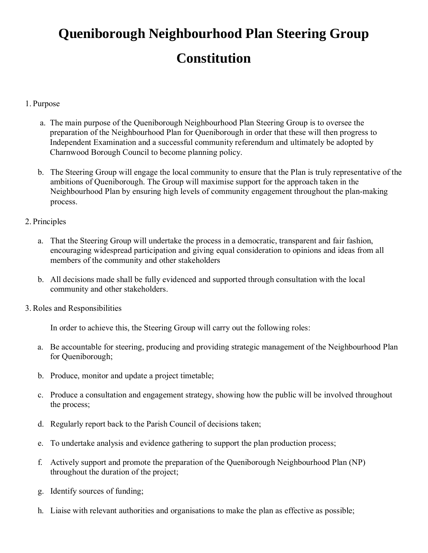# **Queniborough Neighbourhood Plan Steering Group Constitution**

## **1. Purpose**

- **a. The main purpose of the Queniborough Neighbourhood Plan Steering Group is to oversee the preparation of the Neighbourhood Plan for Queniborough in order that these will then progress to Independent Examination and a successful community referendum and ultimately be adopted by Charnwood Borough Council to become planning policy.**
- **b. The Steering Group will engage the local community to ensure that the Plan is truly representative of the ambitions of Queniborough. The Group will maximise support for the approach taken in the Neighbourhood Plan by ensuring high levels of community engagement throughout the plan-making process.**

# **2. Principles**

- **a. That the Steering Group will undertake the process in a democratic, transparent and fair fashion, encouraging widespread participation and giving equal consideration to opinions and ideas from all members of the community and other stakeholders**
- **b. All decisions made shall be fully evidenced and supported through consultation with the local community and other stakeholders.**
- **3.Roles and Responsibilities**

**In order to achieve this, the Steering Group will carry out the following roles:** 

- **a. Be accountable for steering, producing and providing strategic management of the Neighbourhood Plan for Queniborough;**
- **b. Produce, monitor and update a project timetable;**
- **c. Produce a consultation and engagement strategy, showing how the public will be involved throughout the process;**
- **d. Regularly report back to the Parish Council of decisions taken;**
- **e. To undertake analysis and evidence gathering to support the plan production process;**
- **f. Actively support and promote the preparation of the Queniborough Neighbourhood Plan (NP) throughout the duration of the project;**
- **g. Identify sources of funding;**
- **h. Liaise with relevant authorities and organisations to make the plan as effective as possible;**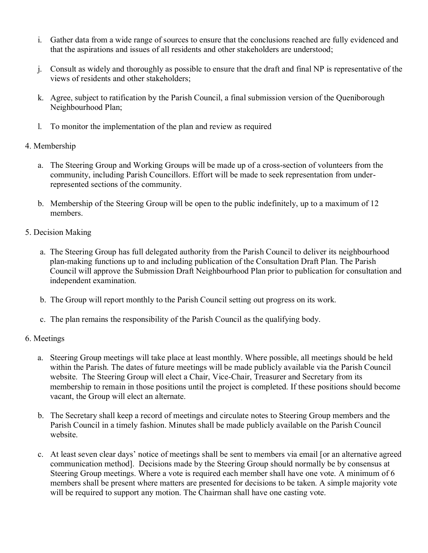- **i. Gather data from a wide range of sources to ensure that the conclusions reached are fully evidenced and that the aspirations and issues of all residents and other stakeholders are understood;**
- **j. Consult as widely and thoroughly as possible to ensure that the draft and final NP is representative of the views of residents and other stakeholders;**
- **k. Agree, subject to ratification by the Parish Council, a final submission version of the Queniborough Neighbourhood Plan;**
- **l. To monitor the implementation of the plan and review as required**
- **4. Membership** 
	- **a. The Steering Group and Working Groups will be made up of a cross-section of volunteers from the community, including Parish Councillors. Effort will be made to seek representation from underrepresented sections of the community.**
	- **b. Membership of the Steering Group will be open to the public indefinitely, up to a maximum of 12 members.**
- **5. Decision Making** 
	- **a. The Steering Group has full delegated authority from the Parish Council to deliver its neighbourhood plan-making functions up to and including publication of the Consultation Draft Plan. The Parish Council will approve the Submission Draft Neighbourhood Plan prior to publication for consultation and independent examination.**
	- **b. The Group will report monthly to the Parish Council setting out progress on its work.**
	- **c. The plan remains the responsibility of the Parish Council as the qualifying body.**
- **6. Meetings** 
	- **a. Steering Group meetings will take place at least monthly. Where possible, all meetings should be held within the Parish. The dates of future meetings will be made publicly available via the Parish Council website. The Steering Group will elect a Chair, Vice-Chair, Treasurer and Secretary from its membership to remain in those positions until the project is completed. If these positions should become vacant, the Group will elect an alternate.**
	- **b. The Secretary shall keep a record of meetings and circulate notes to Steering Group members and the Parish Council in a timely fashion. Minutes shall be made publicly available on the Parish Council website.**
	- **c. At least seven clear days' notice of meetings shall be sent to members via email [or an alternative agreed communication method]. Decisions made by the Steering Group should normally be by consensus at Steering Group meetings. Where a vote is required each member shall have one vote. A minimum of 6 members shall be present where matters are presented for decisions to be taken. A simple majority vote will be required to support any motion. The Chairman shall have one casting vote.**